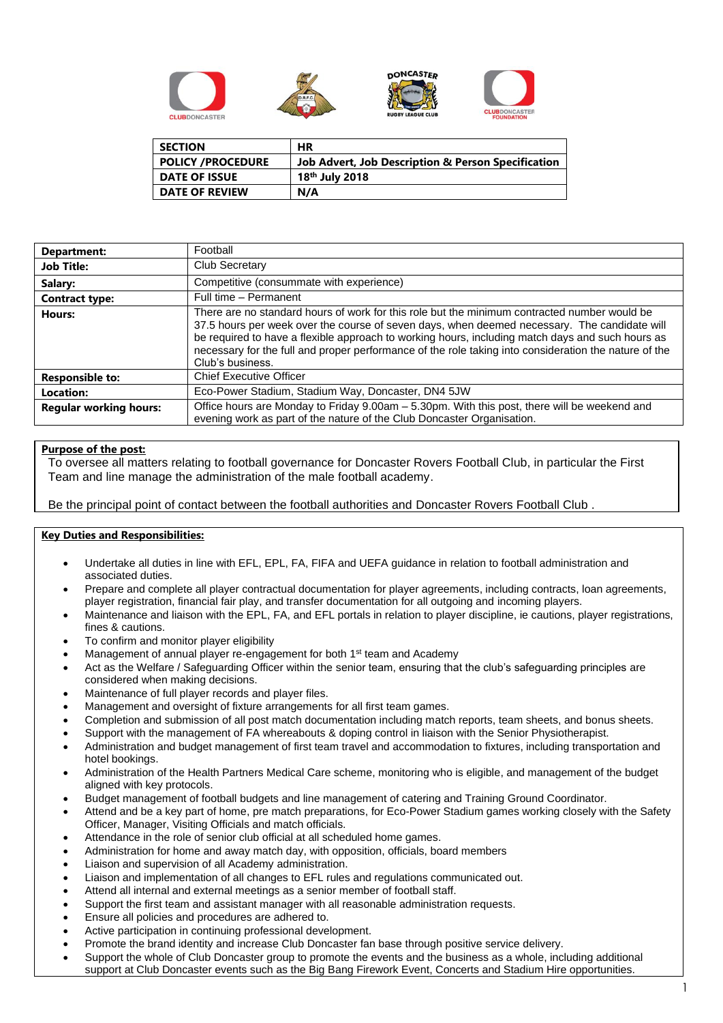

| <b>SECTION</b>           | ΗR                                                            |
|--------------------------|---------------------------------------------------------------|
| <b>POLICY /PROCEDURE</b> | <b>Job Advert, Job Description &amp; Person Specification</b> |
| <b>DATE OF ISSUE</b>     | 18 <sup>th</sup> July 2018                                    |
| <b>DATE OF REVIEW</b>    | N/A                                                           |

| Department:                   | Football                                                                                                                                                                                                                                                                                                                                                                                                                      |
|-------------------------------|-------------------------------------------------------------------------------------------------------------------------------------------------------------------------------------------------------------------------------------------------------------------------------------------------------------------------------------------------------------------------------------------------------------------------------|
| <b>Job Title:</b>             | <b>Club Secretary</b>                                                                                                                                                                                                                                                                                                                                                                                                         |
| Salary:                       | Competitive (consummate with experience)                                                                                                                                                                                                                                                                                                                                                                                      |
| <b>Contract type:</b>         | Full time - Permanent                                                                                                                                                                                                                                                                                                                                                                                                         |
| Hours:                        | There are no standard hours of work for this role but the minimum contracted number would be<br>37.5 hours per week over the course of seven days, when deemed necessary. The candidate will<br>be required to have a flexible approach to working hours, including match days and such hours as<br>necessary for the full and proper performance of the role taking into consideration the nature of the<br>Club's business. |
| <b>Responsible to:</b>        | <b>Chief Executive Officer</b>                                                                                                                                                                                                                                                                                                                                                                                                |
| Location:                     | Eco-Power Stadium, Stadium Way, Doncaster, DN4 5JW                                                                                                                                                                                                                                                                                                                                                                            |
| <b>Regular working hours:</b> | Office hours are Monday to Friday 9.00am - 5.30pm. With this post, there will be weekend and<br>evening work as part of the nature of the Club Doncaster Organisation.                                                                                                                                                                                                                                                        |

# **Purpose of the post:**

To oversee all matters relating to football governance for Doncaster Rovers Football Club, in particular the First Team and line manage the administration of the male football academy.

Be the principal point of contact between the football authorities and Doncaster Rovers Football Club .

# **Key Duties and Responsibilities:**

- Undertake all duties in line with EFL, EPL, FA, FIFA and UEFA guidance in relation to football administration and associated duties.
- Prepare and complete all player contractual documentation for player agreements, including contracts, loan agreements, player registration, financial fair play, and transfer documentation for all outgoing and incoming players.
- Maintenance and liaison with the EPL, FA, and EFL portals in relation to player discipline, ie cautions, player registrations, fines & cautions.
- To confirm and monitor player eligibility
- Management of annual player re-engagement for both 1<sup>st</sup> team and Academy
- Act as the Welfare / Safeguarding Officer within the senior team, ensuring that the club's safeguarding principles are considered when making decisions.
- Maintenance of full player records and player files.
- Management and oversight of fixture arrangements for all first team games.
- Completion and submission of all post match documentation including match reports, team sheets, and bonus sheets.
- Support with the management of FA whereabouts & doping control in liaison with the Senior Physiotherapist.
- Administration and budget management of first team travel and accommodation to fixtures, including transportation and hotel bookings.
- Administration of the Health Partners Medical Care scheme, monitoring who is eligible, and management of the budget aligned with key protocols.
- Budget management of football budgets and line management of catering and Training Ground Coordinator.
- Attend and be a key part of home, pre match preparations, for Eco-Power Stadium games working closely with the Safety Officer, Manager, Visiting Officials and match officials.
- Attendance in the role of senior club official at all scheduled home games.
- Administration for home and away match day, with opposition, officials, board members
- Liaison and supervision of all Academy administration.
- Liaison and implementation of all changes to EFL rules and regulations communicated out.
- Attend all internal and external meetings as a senior member of football staff.
- Support the first team and assistant manager with all reasonable administration requests.
- Ensure all policies and procedures are adhered to.
- Active participation in continuing professional development.
- Promote the brand identity and increase Club Doncaster fan base through positive service delivery.
- Support the whole of Club Doncaster group to promote the events and the business as a whole, including additional support at Club Doncaster events such as the Big Bang Firework Event, Concerts and Stadium Hire opportunities.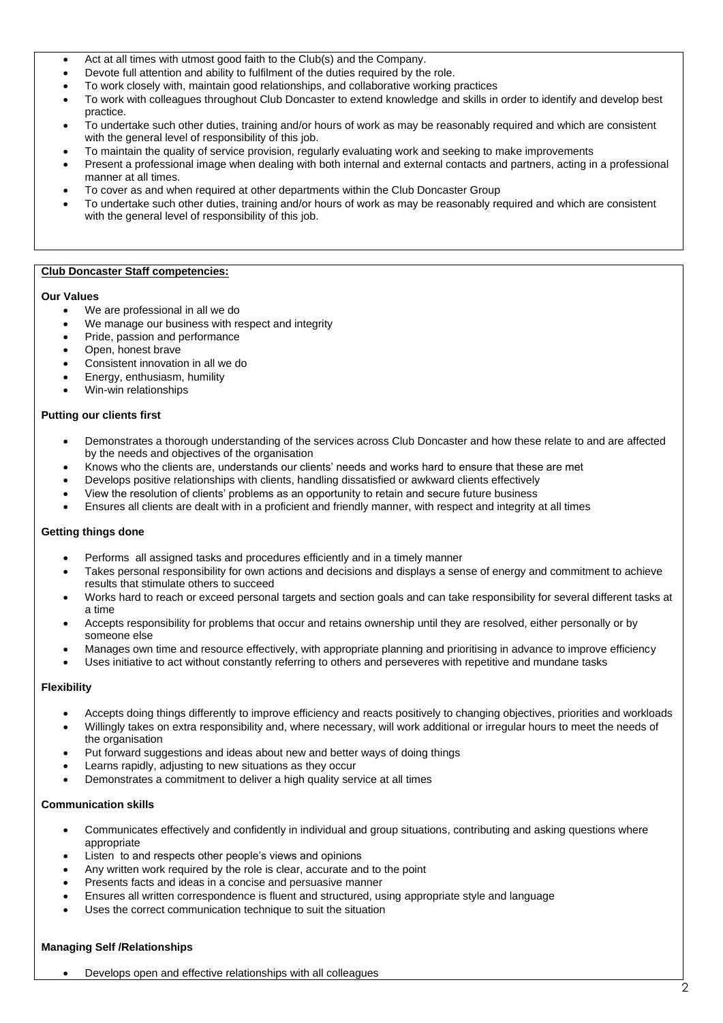- Act at all times with utmost good faith to the Club(s) and the Company.
- Devote full attention and ability to fulfilment of the duties required by the role.
- To work closely with, maintain good relationships, and collaborative working practices
- To work with colleagues throughout Club Doncaster to extend knowledge and skills in order to identify and develop best practice.
- To undertake such other duties, training and/or hours of work as may be reasonably required and which are consistent with the general level of responsibility of this job.
- To maintain the quality of service provision, regularly evaluating work and seeking to make improvements
- Present a professional image when dealing with both internal and external contacts and partners, acting in a professional manner at all times.
- To cover as and when required at other departments within the Club Doncaster Group
- To undertake such other duties, training and/or hours of work as may be reasonably required and which are consistent with the general level of responsibility of this job.

### **Club Doncaster Staff competencies:**

#### **Our Values**

- We are professional in all we do
- We manage our business with respect and integrity
- Pride, passion and performance
- Open, honest brave
- Consistent innovation in all we do
- Energy, enthusiasm, humility
- Win-win relationships

#### **Putting our clients first**

- Demonstrates a thorough understanding of the services across Club Doncaster and how these relate to and are affected by the needs and objectives of the organisation
- Knows who the clients are, understands our clients' needs and works hard to ensure that these are met
- Develops positive relationships with clients, handling dissatisfied or awkward clients effectively
- View the resolution of clients' problems as an opportunity to retain and secure future business
- Ensures all clients are dealt with in a proficient and friendly manner, with respect and integrity at all times

#### **Getting things done**

- Performs all assigned tasks and procedures efficiently and in a timely manner
- Takes personal responsibility for own actions and decisions and displays a sense of energy and commitment to achieve results that stimulate others to succeed
- Works hard to reach or exceed personal targets and section goals and can take responsibility for several different tasks at a time
- Accepts responsibility for problems that occur and retains ownership until they are resolved, either personally or by someone else
- Manages own time and resource effectively, with appropriate planning and prioritising in advance to improve efficiency
- Uses initiative to act without constantly referring to others and perseveres with repetitive and mundane tasks

### **Flexibility**

- Accepts doing things differently to improve efficiency and reacts positively to changing objectives, priorities and workloads
- Willingly takes on extra responsibility and, where necessary, will work additional or irregular hours to meet the needs of the organisation
- Put forward suggestions and ideas about new and better ways of doing things
- Learns rapidly, adjusting to new situations as they occur
- Demonstrates a commitment to deliver a high quality service at all times

### **Communication skills**

- Communicates effectively and confidently in individual and group situations, contributing and asking questions where appropriate
- Listen to and respects other people's views and opinions
- Any written work required by the role is clear, accurate and to the point
- Presents facts and ideas in a concise and persuasive manner
- Ensures all written correspondence is fluent and structured, using appropriate style and language
- Uses the correct communication technique to suit the situation

### **Managing Self /Relationships**

• Develops open and effective relationships with all colleagues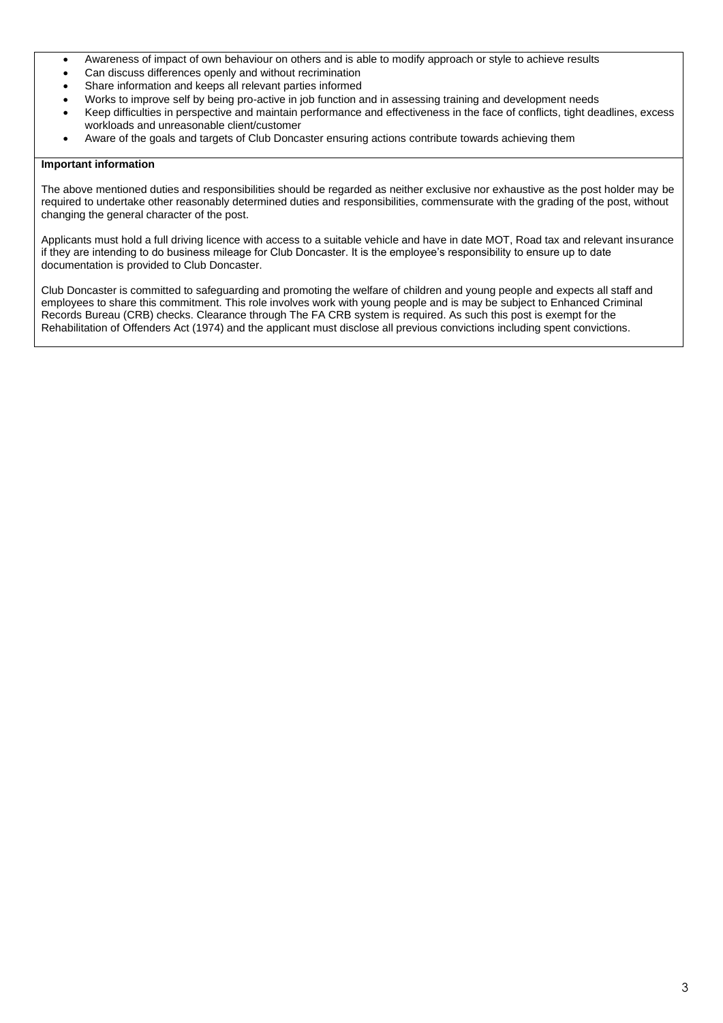- Awareness of impact of own behaviour on others and is able to modify approach or style to achieve results
- Can discuss differences openly and without recrimination
- Share information and keeps all relevant parties informed
- Works to improve self by being pro-active in job function and in assessing training and development needs
- Keep difficulties in perspective and maintain performance and effectiveness in the face of conflicts, tight deadlines, excess workloads and unreasonable client/customer
- Aware of the goals and targets of Club Doncaster ensuring actions contribute towards achieving them

## **Important information**

The above mentioned duties and responsibilities should be regarded as neither exclusive nor exhaustive as the post holder may be required to undertake other reasonably determined duties and responsibilities, commensurate with the grading of the post, without changing the general character of the post.

Applicants must hold a full driving licence with access to a suitable vehicle and have in date MOT, Road tax and relevant insurance if they are intending to do business mileage for Club Doncaster. It is the employee's responsibility to ensure up to date documentation is provided to Club Doncaster.

Club Doncaster is committed to safeguarding and promoting the welfare of children and young people and expects all staff and employees to share this commitment. This role involves work with young people and is may be subject to Enhanced Criminal Records Bureau (CRB) checks. Clearance through The FA CRB system is required. As such this post is exempt for the Rehabilitation of Offenders Act (1974) and the applicant must disclose all previous convictions including spent convictions.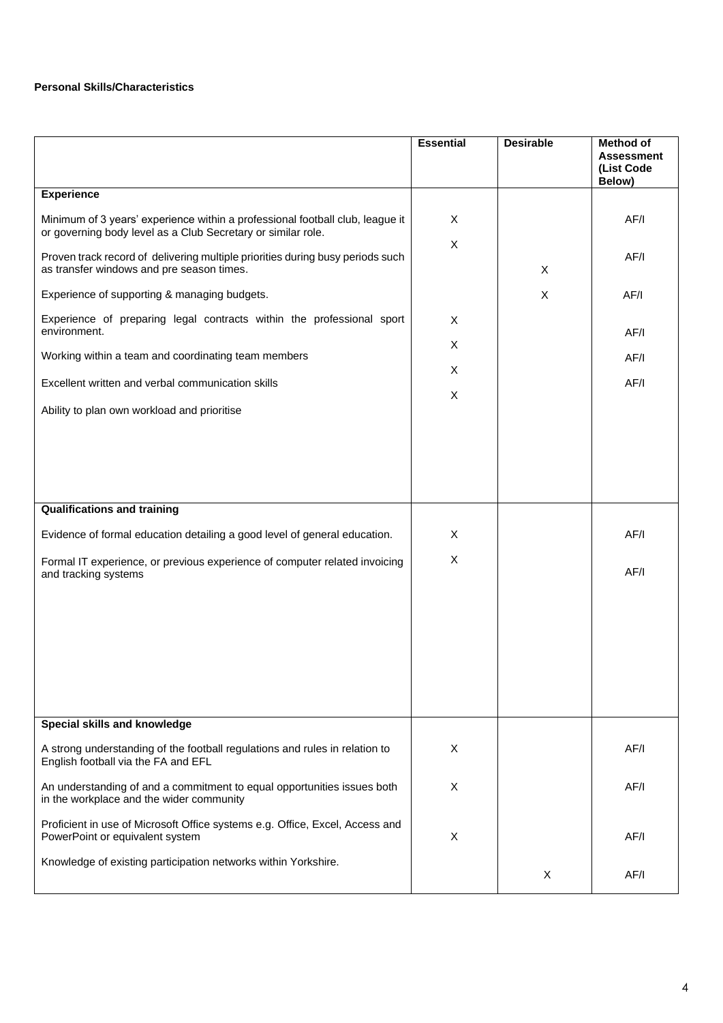# **Personal Skills/Characteristics**

|                                                                                                                                               | <b>Essential</b> | <b>Desirable</b> | Method of<br><b>Assessment</b><br>(List Code<br>Below) |
|-----------------------------------------------------------------------------------------------------------------------------------------------|------------------|------------------|--------------------------------------------------------|
| <b>Experience</b>                                                                                                                             |                  |                  |                                                        |
| Minimum of 3 years' experience within a professional football club, league it<br>or governing body level as a Club Secretary or similar role. | X<br>X           |                  | AF/I                                                   |
| Proven track record of delivering multiple priorities during busy periods such<br>as transfer windows and pre season times.                   |                  | X                | AF/I                                                   |
| Experience of supporting & managing budgets.                                                                                                  |                  | X                | AF/I                                                   |
| Experience of preparing legal contracts within the professional sport<br>environment.                                                         | X                |                  | AF/I                                                   |
| Working within a team and coordinating team members                                                                                           | X                |                  | AF/I                                                   |
| Excellent written and verbal communication skills                                                                                             | X                |                  | AF/I                                                   |
| Ability to plan own workload and prioritise                                                                                                   | X                |                  |                                                        |
| <b>Qualifications and training</b>                                                                                                            |                  |                  |                                                        |
| Evidence of formal education detailing a good level of general education.                                                                     | X                |                  | AF/I                                                   |
| Formal IT experience, or previous experience of computer related invoicing<br>and tracking systems                                            | X                |                  | AF/I                                                   |
| Special skills and knowledge                                                                                                                  |                  |                  |                                                        |
|                                                                                                                                               |                  |                  |                                                        |
| A strong understanding of the football regulations and rules in relation to<br>English football via the FA and EFL                            | X                |                  | AF/I                                                   |
| An understanding of and a commitment to equal opportunities issues both<br>in the workplace and the wider community                           | X                |                  | AF/I                                                   |
| Proficient in use of Microsoft Office systems e.g. Office, Excel, Access and<br>PowerPoint or equivalent system                               | X                |                  | AF/I                                                   |
| Knowledge of existing participation networks within Yorkshire.                                                                                |                  | X                | AF/I                                                   |